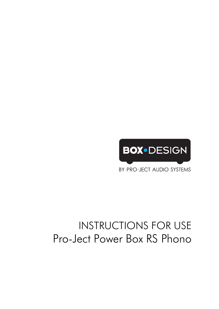

BY PRO-JECT AUDIO SYSTEMS

# INSTRUCTIONS FOR USE Pro-Ject Power Box RS Phono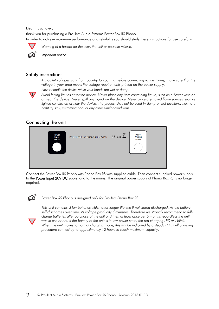Dear music lover,

thank you for purchasing a Pro-Ject Audio Systems Power Box RS Phono. In order to achieve maximum performance and reliability you should study these instructions for use carefully.



*Warning of a hazard for the user, the unit or possible misuse.* 



*Important notice.* 

#### Safety instructions

*AC outlet voltages vary from country to country. Before connecting to the mains, make sure that the voltage in your area meets the voltage requirements printed on the power supply.* 

*Never handle the device while your hands are wet or damp.* 



*Avoid letting liquids enter the device. Never place any item containing liquid, such as a flower vase on or near the device. Never spill any liquid on the device. Never place any naked flame sources, such as lighted candles on or near the device. The product shall not be used in damp or wet locations, next to a bathtub, sink, swimming pool or any other similar conditions.* 

## Connecting the unit



Connect the Power Box RS Phono with Phono Box RS with supplied cable. Then connect supplied power supply to the Power Input 20V DC socket and to the mains. The original power supply of Phono Box RS is no longer required.



*Power Box RS Phono is designed only for Pro-Ject Phono Box RS.* 



*This unit contains Li-ion batteries which offer longer lifetime if not stored discharged. As the battery self-discharges over time, its voltage gradually diminishes. Therefore we strongly recommend to fully*  charge batteries after purchase of the unit and then at least once per 6 months regardless the unit was in use or not. If the battery of the unit is in low power state, the red charging LED will blink. When the unit moves to normal charging mode, this will be indicated by a steady LED. Full charging *procedure can last up to approximately 12 hours to reach maximum capacity.*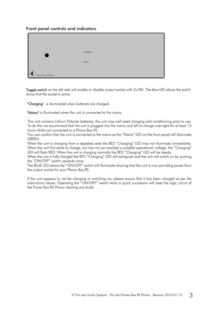#### Front panel controls and indicators

| $\bullet$<br>ł.    | · Charging |  |
|--------------------|------------|--|
|                    | · Mains    |  |
| Power Box RS Phono |            |  |

Toggle switch on the left side will enable or disable output socket with 2x18V. The blue LED above the switch shows that the socket is active.

"Charging" is illuminated when batteries are charged.

"Mains" is illuminated when the unit is connected to the mains.

This unit contains Lithium Polymer batteries, the unit may well need charging and conditioning prior to use. To do this we recommend that the unit is plugged into the mains and left to charge overnight for at least 12 hours whilst not connected to a Phono Box RS.

You can confirm that the unit is connected to the mains as the "Mains" LED on the front panel will illuminate GREEN.

When the unit is charging from a depleted state the RED "Charging" LED may not illuminate immediately. When the unit first starts to charge, but has not yet reached a suitable operational voltage, the "Charging" LED will flash RED. When the unit is charging normally the RED "Charging" LED will be steady.

When the unit is fully charged the RED "Charging" LED will extinguish and the unit will switch on by pushing the "ON/OFF" switch upwards once.

The BLUE LED above the "ON/OFF" switch will illuminate showing that the unit is now providing power from the output socket for your Phono Box RS.

If the unit appears to not be charging or switching on, please ensure that it has been charged as per the instructions above. Operating the "ON/OFF" switch twice in quick succession will reset the logic circuit of the Power Box RS Phono clearing any faults.